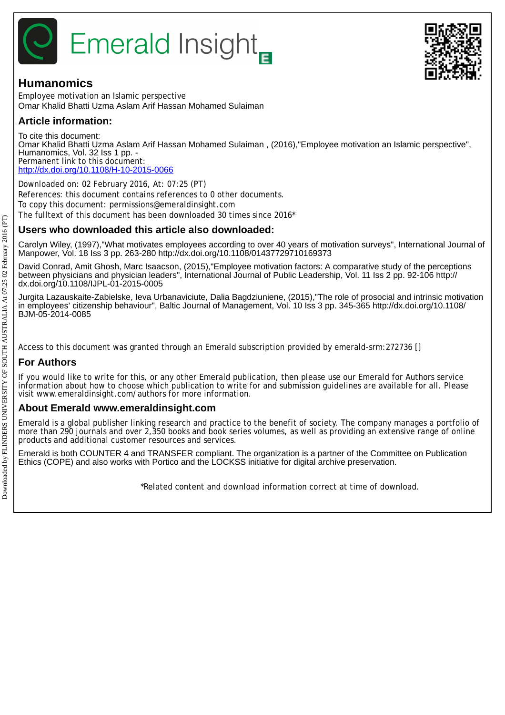

# Emerald Insight



**Humanomics**

Employee motivation an Islamic perspective Omar Khalid Bhatti Uzma Aslam Arif Hassan Mohamed Sulaiman

# **Article information:**

To cite this document: Omar Khalid Bhatti Uzma Aslam Arif Hassan Mohamed Sulaiman , (2016),"Employee motivation an Islamic perspective", Humanomics, Vol. 32 Iss 1 pp. - Permanent link to this document: <http://dx.doi.org/10.1108/H-10-2015-0066>

Downloaded on: 02 February 2016, At: 07:25 (PT) References: this document contains references to 0 other documents. To copy this document: permissions@emeraldinsight.com The fulltext of this document has been downloaded 30 times since 2016\*

# **Users who downloaded this article also downloaded:**

Carolyn Wiley, (1997),"What motivates employees according to over 40 years of motivation surveys", International Journal of Manpower, Vol. 18 Iss 3 pp. 263-280 http://dx.doi.org/10.1108/01437729710169373

David Conrad, Amit Ghosh, Marc Isaacson, (2015),"Employee motivation factors: A comparative study of the perceptions between physicians and physician leaders", International Journal of Public Leadership, Vol. 11 Iss 2 pp. 92-106 http:// dx.doi.org/10.1108/IJPL-01-2015-0005

Jurgita Lazauskaite-Zabielske, Ieva Urbanaviciute, Dalia Bagdziuniene, (2015),"The role of prosocial and intrinsic motivation in employees' citizenship behaviour", Baltic Journal of Management, Vol. 10 Iss 3 pp. 345-365 http://dx.doi.org/10.1108/ BJM-05-2014-0085

Access to this document was granted through an Emerald subscription provided by emerald-srm:272736 []

# **For Authors**

If you would like to write for this, or any other Emerald publication, then please use our Emerald for Authors service information about how to choose which publication to write for and submission guidelines are available for all. Please visit www.emeraldinsight.com/authors for more information.

## **About Emerald www.emeraldinsight.com**

Emerald is a global publisher linking research and practice to the benefit of society. The company manages a portfolio of more than 290 journals and over 2,350 books and book series volumes, as well as providing an extensive range of online products and additional customer resources and services.

Emerald is both COUNTER 4 and TRANSFER compliant. The organization is a partner of the Committee on Publication Ethics (COPE) and also works with Portico and the LOCKSS initiative for digital archive preservation.

\*Related content and download information correct at time of download.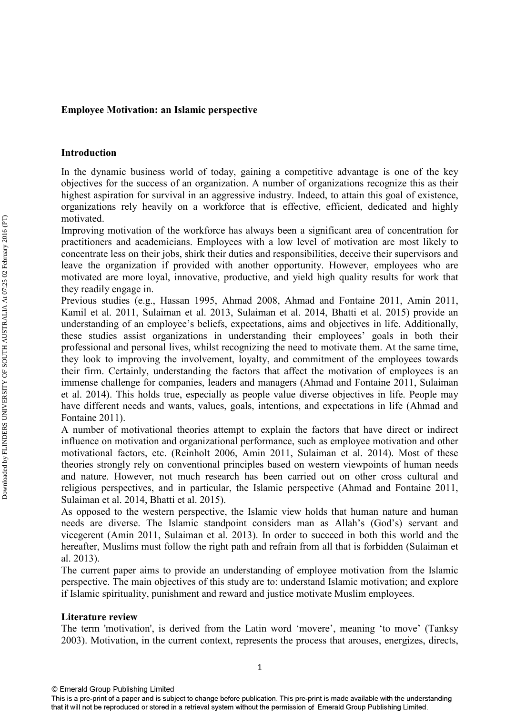#### **Employee Motivation: an Islamic perspective**

#### **Introduction**

In the dynamic business world of today, gaining a competitive advantage is one of the key objectives for the success of an organization. A number of organizations recognize this as their highest aspiration for survival in an aggressive industry. Indeed, to attain this goal of existence, organizations rely heavily on a workforce that is effective, efficient, dedicated and highly motivated.

Improving motivation of the workforce has always been a significant area of concentration for practitioners and academicians. Employees with a low level of motivation are most likely to concentrate less on their jobs, shirk their duties and responsibilities, deceive their supervisors and leave the organization if provided with another opportunity. However, employees who are motivated are more loyal, innovative, productive, and yield high quality results for work that they readily engage in.

Previous studies (e.g., Hassan 1995, Ahmad 2008, Ahmad and Fontaine 2011, Amin 2011, Kamil et al. 2011, Sulaiman et al. 2013, Sulaiman et al. 2014, Bhatti et al. 2015) provide an understanding of an employee's beliefs, expectations, aims and objectives in life. Additionally, these studies assist organizations in understanding their employees' goals in both their professional and personal lives, whilst recognizing the need to motivate them. At the same time, they look to improving the involvement, loyalty, and commitment of the employees towards their firm. Certainly, understanding the factors that affect the motivation of employees is an immense challenge for companies, leaders and managers (Ahmad and Fontaine 2011, Sulaiman et al. 2014). This holds true, especially as people value diverse objectives in life. People may have different needs and wants, values, goals, intentions, and expectations in life (Ahmad and Fontaine 2011).

A number of motivational theories attempt to explain the factors that have direct or indirect influence on motivation and organizational performance, such as employee motivation and other motivational factors, etc. (Reinholt 2006, Amin 2011, Sulaiman et al. 2014). Most of these theories strongly rely on conventional principles based on western viewpoints of human needs and nature. However, not much research has been carried out on other cross cultural and religious perspectives, and in particular, the Islamic perspective (Ahmad and Fontaine 2011, Sulaiman et al. 2014, Bhatti et al. 2015).

As opposed to the western perspective, the Islamic view holds that human nature and human needs are diverse. The Islamic standpoint considers man as Allah's (God's) servant and vicegerent (Amin 2011, Sulaiman et al. 2013). In order to succeed in both this world and the hereafter, Muslims must follow the right path and refrain from all that is forbidden (Sulaiman et al. 2013).

The current paper aims to provide an understanding of employee motivation from the Islamic perspective. The main objectives of this study are to: understand Islamic motivation; and explore if Islamic spirituality, punishment and reward and justice motivate Muslim employees.

#### **Literature review**

The term 'motivation', is derived from the Latin word 'movere', meaning 'to move' (Tanksy 2003). Motivation, in the current context, represents the process that arouses, energizes, directs,

This is a pre-print of a paper and is subject to change before publication. This pre-print is made available with the understanding that it will not be reproduced or stored in a retrieval system without the permission of Emerald Group Publishing Limited.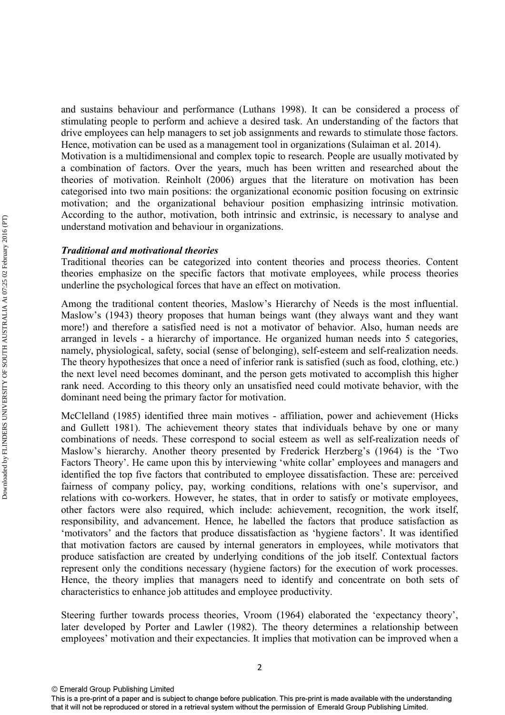and sustains behaviour and performance (Luthans 1998). It can be considered a process of stimulating people to perform and achieve a desired task. An understanding of the factors that drive employees can help managers to set job assignments and rewards to stimulate those factors. Hence, motivation can be used as a management tool in organizations (Sulaiman et al. 2014).

Motivation is a multidimensional and complex topic to research. People are usually motivated by a combination of factors. Over the years, much has been written and researched about the theories of motivation. Reinholt (2006) argues that the literature on motivation has been categorised into two main positions: the organizational economic position focusing on extrinsic motivation; and the organizational behaviour position emphasizing intrinsic motivation. According to the author, motivation, both intrinsic and extrinsic, is necessary to analyse and understand motivation and behaviour in organizations.

## *Traditional and motivational theories*

Traditional theories can be categorized into content theories and process theories. Content theories emphasize on the specific factors that motivate employees, while process theories underline the psychological forces that have an effect on motivation.

Among the traditional content theories, Maslow's Hierarchy of Needs is the most influential. Maslow's (1943) theory proposes that human beings want (they always want and they want more!) and therefore a satisfied need is not a motivator of behavior. Also, human needs are arranged in levels - a hierarchy of importance. He organized human needs into 5 categories, namely, physiological, safety, social (sense of belonging), self-esteem and self-realization needs. The theory hypothesizes that once a need of inferior rank is satisfied (such as food, clothing, etc.) the next level need becomes dominant, and the person gets motivated to accomplish this higher rank need. According to this theory only an unsatisfied need could motivate behavior, with the dominant need being the primary factor for motivation.

McClelland (1985) identified three main motives - affiliation, power and achievement (Hicks and Gullett 1981). The achievement theory states that individuals behave by one or many combinations of needs. These correspond to social esteem as well as self-realization needs of Maslow's hierarchy. Another theory presented by Frederick Herzberg's (1964) is the 'Two Factors Theory'. He came upon this by interviewing 'white collar' employees and managers and identified the top five factors that contributed to employee dissatisfaction. These are: perceived fairness of company policy, pay, working conditions, relations with one's supervisor, and relations with co-workers. However, he states, that in order to satisfy or motivate employees, other factors were also required, which include: achievement, recognition, the work itself, responsibility, and advancement. Hence, he labelled the factors that produce satisfaction as 'motivators' and the factors that produce dissatisfaction as 'hygiene factors'. It was identified that motivation factors are caused by internal generators in employees, while motivators that produce satisfaction are created by underlying conditions of the job itself. Contextual factors represent only the conditions necessary (hygiene factors) for the execution of work processes. Hence, the theory implies that managers need to identify and concentrate on both sets of characteristics to enhance job attitudes and employee productivity.

Steering further towards process theories, Vroom (1964) elaborated the 'expectancy theory', later developed by Porter and Lawler (1982). The theory determines a relationship between employees' motivation and their expectancies. It implies that motivation can be improved when a

This is a pre-print of a paper and is subject to change before publication. This pre-print is made available with the understanding that it will not be reproduced or stored in a retrieval system without the permission of Emerald Group Publishing Limited.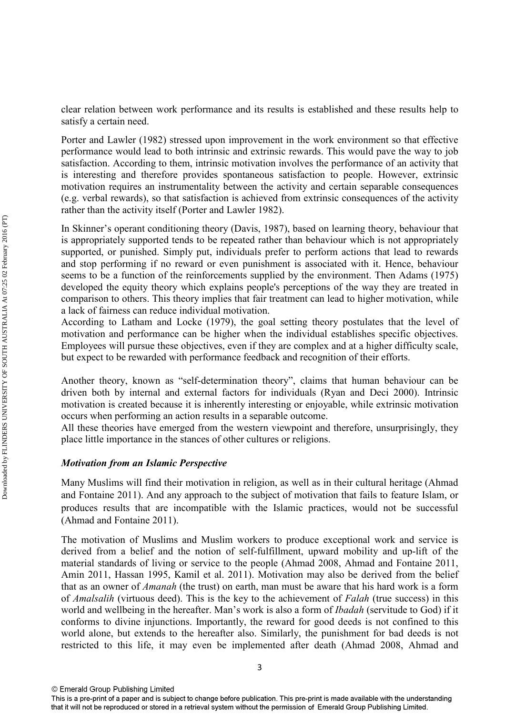clear relation between work performance and its results is established and these results help to satisfy a certain need.

Porter and Lawler (1982) stressed upon improvement in the work environment so that effective performance would lead to both intrinsic and extrinsic rewards. This would pave the way to job satisfaction. According to them, intrinsic motivation involves the performance of an activity that is interesting and therefore provides spontaneous satisfaction to people. However, extrinsic motivation requires an instrumentality between the activity and certain separable consequences (e.g. verbal rewards), so that satisfaction is achieved from extrinsic consequences of the activity rather than the activity itself (Porter and Lawler 1982).

In Skinner's operant conditioning theory (Davis, 1987), based on learning theory, behaviour that is appropriately supported tends to be repeated rather than behaviour which is not appropriately supported, or punished. Simply put, individuals prefer to perform actions that lead to rewards and stop performing if no reward or even punishment is associated with it. Hence, behaviour seems to be a function of the reinforcements supplied by the environment. Then Adams (1975) developed the equity theory which explains people's perceptions of the way they are treated in comparison to others. This theory implies that fair treatment can lead to higher motivation, while a lack of fairness can reduce individual motivation.

According to Latham and Locke (1979), the goal setting theory postulates that the level of motivation and performance can be higher when the individual establishes specific objectives. Employees will pursue these objectives, even if they are complex and at a higher difficulty scale, but expect to be rewarded with performance feedback and recognition of their efforts.

Another theory, known as "self-determination theory", claims that human behaviour can be driven both by internal and external factors for individuals (Ryan and Deci 2000). Intrinsic motivation is created because it is inherently interesting or enjoyable, while extrinsic motivation occurs when performing an action results in a separable outcome.

All these theories have emerged from the western viewpoint and therefore, unsurprisingly, they place little importance in the stances of other cultures or religions.

## *Motivation from an Islamic Perspective*

Many Muslims will find their motivation in religion, as well as in their cultural heritage (Ahmad and Fontaine 2011). And any approach to the subject of motivation that fails to feature Islam, or produces results that are incompatible with the Islamic practices, would not be successful (Ahmad and Fontaine 2011).

The motivation of Muslims and Muslim workers to produce exceptional work and service is derived from a belief and the notion of self-fulfillment, upward mobility and up-lift of the material standards of living or service to the people (Ahmad 2008, Ahmad and Fontaine 2011, Amin 2011, Hassan 1995, Kamil et al. 2011). Motivation may also be derived from the belief that as an owner of *Amanah* (the trust) on earth, man must be aware that his hard work is a form of *Amalsalih* (virtuous deed). This is the key to the achievement of *Falah* (true success) in this world and wellbeing in the hereafter. Man's work is also a form of *Ibadah* (servitude to God) if it conforms to divine injunctions. Importantly, the reward for good deeds is not confined to this world alone, but extends to the hereafter also. Similarly, the punishment for bad deeds is not restricted to this life, it may even be implemented after death (Ahmad 2008, Ahmad and

<sup>3</sup> 

This is a pre-print of a paper and is subject to change before publication. This pre-print is made available with the understanding that it will not be reproduced or stored in a retrieval system without the permission of Emerald Group Publishing Limited.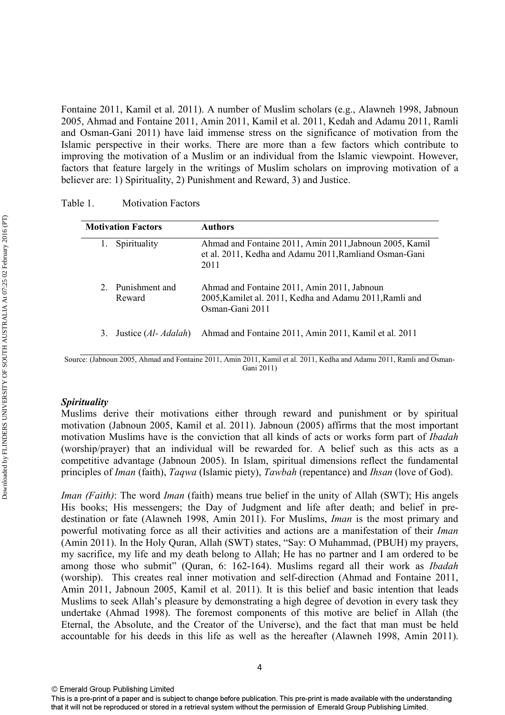Fontaine 2011, Kamil et al. 2011). A number of Muslim scholars (e.g., Alawneh 1998, Jabnoun 2005, Ahmad and Fontaine 2011, Amin 2011, Kamil et al. 2011, Kedah and Adamu 2011, Ramli and Osman-Gani 2011) have laid immense stress on the significance of motivation from the Islamic perspective in their works. There are more than a few factors which contribute to improving the motivation of a Muslim or an individual from the Islamic viewpoint. However, factors that feature largely in the writings of Muslim scholars on improving motivation of a believer are: 1) Spirituality, 2) Punishment and Reward, 3) and Justice.

#### Table 1. Motivation Factors

| <b>Motivation Factors</b>   | <b>Authors</b>                                                                                                            |  |  |
|-----------------------------|---------------------------------------------------------------------------------------------------------------------------|--|--|
| Spirituality                | Ahmad and Fontaine 2011, Amin 2011, Jabnoun 2005, Kamil<br>et al. 2011, Kedha and Adamu 2011, Ramliand Osman-Gani<br>2011 |  |  |
| 2. Punishment and<br>Reward | Ahmad and Fontaine 2011, Amin 2011, Jabnoun<br>2005, Kamilet al. 2011, Kedha and Adamu 2011, Ramli and<br>Osman-Gani 2011 |  |  |
| Justice (Al- Adalah)<br>3.  | Ahmad and Fontaine 2011, Amin 2011, Kamil et al. 2011                                                                     |  |  |

Source: (Jabnoun 2005, Ahmad and Fontaine 2011, Amin 2011, Kamil et al. 2011, Kedha and Adamu 2011, Ramli and Osman-Gani 2011)

#### *Spirituality*

Muslims derive their motivations either through reward and punishment or by spiritual motivation (Jabnoun 2005, Kamil et al. 2011). Jabnoun (2005) affirms that the most important motivation Muslims have is the conviction that all kinds of acts or works form part of *Ibadah* (worship/prayer) that an individual will be rewarded for. A belief such as this acts as a competitive advantage (Jabnoun 2005). In Islam, spiritual dimensions reflect the fundamental principles of *Iman* (faith), *Taqwa* (Islamic piety), *Tawbah* (repentance) and *Ihsan* (love of God).

*Iman (Faith)*: The word *Iman* (faith) means true belief in the unity of Allah (SWT); His angels His books; His messengers; the Day of Judgment and life after death; and belief in predestination or fate (Alawneh 1998, Amin 2011). For Muslims, *Iman* is the most primary and powerful motivating force as all their activities and actions are a manifestation of their *Iman* (Amin 2011). In the Holy Quran, Allah (SWT) states, "Say: O Muhammad, (PBUH) my prayers, my sacrifice, my life and my death belong to Allah; He has no partner and I am ordered to be among those who submit" (Quran, 6: 162-164). Muslims regard all their work as *Ibadah* (worship). This creates real inner motivation and self-direction (Ahmad and Fontaine 2011, Amin 2011, Jabnoun 2005, Kamil et al. 2011). It is this belief and basic intention that leads Muslims to seek Allah's pleasure by demonstrating a high degree of devotion in every task they undertake (Ahmad 1998). The foremost components of this motive are belief in Allah (the Eternal, the Absolute, and the Creator of the Universe), and the fact that man must be held accountable for his deeds in this life as well as the hereafter (Alawneh 1998, Amin 2011).

<sup>4</sup> 

This is a pre-print of a paper and is subject to change before publication. This pre-print is made available with the understanding that it will not be reproduced or stored in a retrieval system without the permission of Emerald Group Publishing Limited.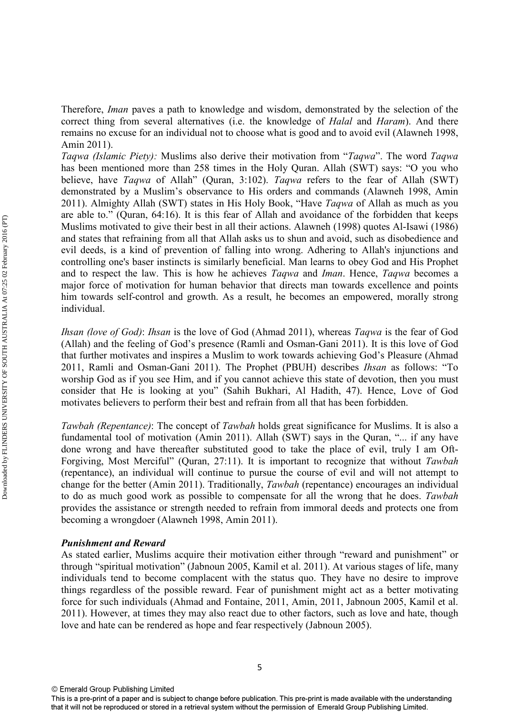Therefore, *Iman* paves a path to knowledge and wisdom, demonstrated by the selection of the correct thing from several alternatives (i.e. the knowledge of *Halal* and *Haram*). And there remains no excuse for an individual not to choose what is good and to avoid evil (Alawneh 1998, Amin 2011).

*Taqwa (Islamic Piety):* Muslims also derive their motivation from "*Taqwa*". The word *Taqwa* has been mentioned more than 258 times in the Holy Quran. Allah (SWT) says: "O you who believe, have *Taqwa* of Allah" (Quran, 3:102). *Taqwa* refers to the fear of Allah (SWT) demonstrated by a Muslim's observance to His orders and commands (Alawneh 1998, Amin 2011). Almighty Allah (SWT) states in His Holy Book, "Have *Taqwa* of Allah as much as you are able to." (Quran, 64:16). It is this fear of Allah and avoidance of the forbidden that keeps Muslims motivated to give their best in all their actions. Alawneh (1998) quotes Al-Isawi (1986) and states that refraining from all that Allah asks us to shun and avoid, such as disobedience and evil deeds, is a kind of prevention of falling into wrong. Adhering to Allah's injunctions and controlling one's baser instincts is similarly beneficial. Man learns to obey God and His Prophet and to respect the law. This is how he achieves *Taqwa* and *Iman*. Hence, *Taqwa* becomes a major force of motivation for human behavior that directs man towards excellence and points him towards self-control and growth. As a result, he becomes an empowered, morally strong individual.

*Ihsan (love of God)*: *Ihsan* is the love of God (Ahmad 2011), whereas *Taqwa* is the fear of God (Allah) and the feeling of God's presence (Ramli and Osman-Gani 2011). It is this love of God that further motivates and inspires a Muslim to work towards achieving God's Pleasure (Ahmad 2011, Ramli and Osman-Gani 2011). The Prophet (PBUH) describes *Ihsan* as follows: "To worship God as if you see Him, and if you cannot achieve this state of devotion, then you must consider that He is looking at you" (Sahih Bukhari, Al Hadith, 47). Hence, Love of God motivates believers to perform their best and refrain from all that has been forbidden.

*Tawbah (Repentance)*: The concept of *Tawbah* holds great significance for Muslims. It is also a fundamental tool of motivation (Amin 2011). Allah (SWT) says in the Quran, "... if any have done wrong and have thereafter substituted good to take the place of evil, truly I am Oft-Forgiving, Most Merciful" (Quran, 27:11). It is important to recognize that without *Tawbah* (repentance), an individual will continue to pursue the course of evil and will not attempt to change for the better (Amin 2011). Traditionally, *Tawbah* (repentance) encourages an individual to do as much good work as possible to compensate for all the wrong that he does. *Tawbah*  provides the assistance or strength needed to refrain from immoral deeds and protects one from becoming a wrongdoer (Alawneh 1998, Amin 2011).

#### *Punishment and Reward*

As stated earlier, Muslims acquire their motivation either through "reward and punishment" or through "spiritual motivation" (Jabnoun 2005, Kamil et al. 2011). At various stages of life, many individuals tend to become complacent with the status quo. They have no desire to improve things regardless of the possible reward. Fear of punishment might act as a better motivating force for such individuals (Ahmad and Fontaine, 2011, Amin, 2011, Jabnoun 2005, Kamil et al. 2011). However, at times they may also react due to other factors, such as love and hate, though love and hate can be rendered as hope and fear respectively (Jabnoun 2005).

This is a pre-print of a paper and is subject to change before publication. This pre-print is made available with the understanding that it will not be reproduced or stored in a retrieval system without the permission of Emerald Group Publishing Limited.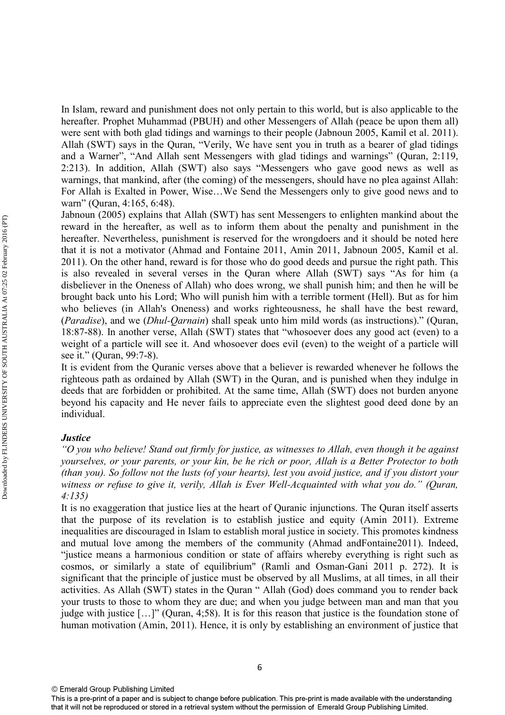In Islam, reward and punishment does not only pertain to this world, but is also applicable to the hereafter. Prophet Muhammad (PBUH) and other Messengers of Allah (peace be upon them all) were sent with both glad tidings and warnings to their people (Jabnoun 2005, Kamil et al. 2011). Allah (SWT) says in the Quran, "Verily, We have sent you in truth as a bearer of glad tidings and a Warner", "And Allah sent Messengers with glad tidings and warnings" (Quran, 2:119, 2:213). In addition, Allah (SWT) also says "Messengers who gave good news as well as warnings, that mankind, after (the coming) of the messengers, should have no plea against Allah: For Allah is Exalted in Power, Wise…We Send the Messengers only to give good news and to warn" (Quran, 4:165, 6:48).

Jabnoun (2005) explains that Allah (SWT) has sent Messengers to enlighten mankind about the reward in the hereafter, as well as to inform them about the penalty and punishment in the hereafter. Nevertheless, punishment is reserved for the wrongdoers and it should be noted here that it is not a motivator (Ahmad and Fontaine 2011, Amin 2011, Jabnoun 2005, Kamil et al. 2011). On the other hand, reward is for those who do good deeds and pursue the right path. This is also revealed in several verses in the Quran where Allah (SWT) says "As for him (a disbeliever in the Oneness of Allah) who does wrong, we shall punish him; and then he will be brought back unto his Lord; Who will punish him with a terrible torment (Hell). But as for him who believes (in Allah's Oneness) and works righteousness, he shall have the best reward, (*Paradise*), and we (*Dhul-Qarnain*) shall speak unto him mild words (as instructions)." (Quran, 18:87-88). In another verse, Allah (SWT) states that "whosoever does any good act (even) to a weight of a particle will see it. And whosoever does evil (even) to the weight of a particle will see it." (Quran, 99:7-8).

It is evident from the Quranic verses above that a believer is rewarded whenever he follows the righteous path as ordained by Allah (SWT) in the Quran, and is punished when they indulge in deeds that are forbidden or prohibited. At the same time, Allah (SWT) does not burden anyone beyond his capacity and He never fails to appreciate even the slightest good deed done by an individual.

#### *Justice*

*"O you who believe! Stand out firmly for justice, as witnesses to Allah, even though it be against yourselves, or your parents, or your kin, be he rich or poor, Allah is a Better Protector to both (than you). So follow not the lusts (of your hearts), lest you avoid justice, and if you distort your witness or refuse to give it, verily, Allah is Ever Well-Acquainted with what you do." (Quran, 4:135)* 

It is no exaggeration that justice lies at the heart of Quranic injunctions. The Quran itself asserts that the purpose of its revelation is to establish justice and equity (Amin 2011). Extreme inequalities are discouraged in Islam to establish moral justice in society. This promotes kindness and mutual love among the members of the community (Ahmad andFontaine2011). Indeed, "justice means a harmonious condition or state of affairs whereby everything is right such as cosmos, or similarly a state of equilibrium" (Ramli and Osman-Gani 2011 p. 272). It is significant that the principle of justice must be observed by all Muslims, at all times, in all their activities. As Allah (SWT) states in the Quran " Allah (God) does command you to render back your trusts to those to whom they are due; and when you judge between man and man that you judge with justice […]" (Quran, 4;58). It is for this reason that justice is the foundation stone of human motivation (Amin, 2011). Hence, it is only by establishing an environment of justice that

This is a pre-print of a paper and is subject to change before publication. This pre-print is made available with the understanding that it will not be reproduced or stored in a retrieval system without the permission of Emerald Group Publishing Limited.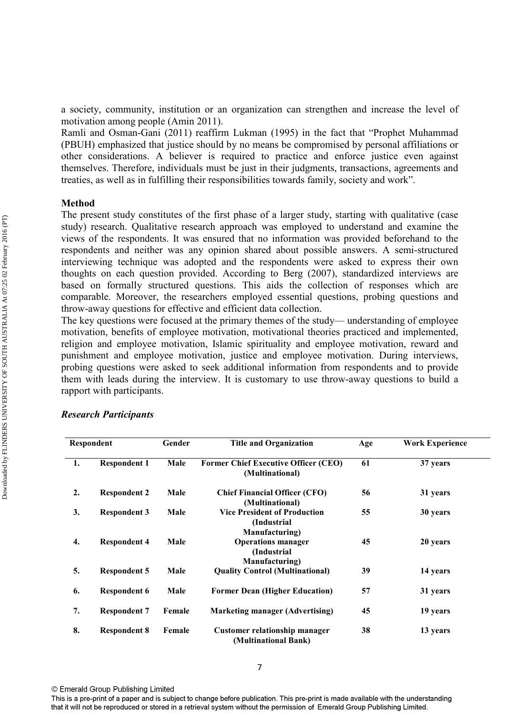a society, community, institution or an organization can strengthen and increase the level of motivation among people (Amin 2011).

Ramli and Osman-Gani (2011) reaffirm Lukman (1995) in the fact that "Prophet Muhammad (PBUH) emphasized that justice should by no means be compromised by personal affiliations or other considerations. A believer is required to practice and enforce justice even against themselves. Therefore, individuals must be just in their judgments, transactions, agreements and treaties, as well as in fulfilling their responsibilities towards family, society and work".

#### **Method**

The present study constitutes of the first phase of a larger study, starting with qualitative (case study) research. Qualitative research approach was employed to understand and examine the views of the respondents. It was ensured that no information was provided beforehand to the respondents and neither was any opinion shared about possible answers. A semi-structured interviewing technique was adopted and the respondents were asked to express their own thoughts on each question provided. According to Berg (2007), standardized interviews are based on formally structured questions. This aids the collection of responses which are comparable. Moreover, the researchers employed essential questions, probing questions and throw-away questions for effective and efficient data collection.

The key questions were focused at the primary themes of the study— understanding of employee motivation, benefits of employee motivation, motivational theories practiced and implemented, religion and employee motivation, Islamic spirituality and employee motivation, reward and punishment and employee motivation, justice and employee motivation. During interviews, probing questions were asked to seek additional information from respondents and to provide them with leads during the interview. It is customary to use throw-away questions to build a rapport with participants.

| Respondent       |                     | Gender | <b>Title and Organization</b>                                         | Age | <b>Work Experience</b> |
|------------------|---------------------|--------|-----------------------------------------------------------------------|-----|------------------------|
| 1.               | <b>Respondent 1</b> | Male   | <b>Former Chief Executive Officer (CEO)</b><br>(Multinational)        | 61  | 37 years               |
| 2.               | <b>Respondent 2</b> | Male   | <b>Chief Financial Officer (CFO)</b><br>(Multinational)               | 56  | 31 years               |
| 3.               | <b>Respondent 3</b> | Male   | <b>Vice President of Production</b><br>(Industrial)<br>Manufacturing) | 55  | 30 years               |
| $\overline{4}$ . | <b>Respondent 4</b> | Male   | <b>Operations manager</b><br>(Industrial)<br>Manufacturing)           | 45  | 20 years               |
| 5.               | <b>Respondent 5</b> | Male   | <b>Quality Control (Multinational)</b>                                | 39  | 14 years               |
| 6.               | <b>Respondent 6</b> | Male   | <b>Former Dean (Higher Education)</b>                                 | 57  | 31 years               |
| 7.               | <b>Respondent 7</b> | Female | <b>Marketing manager (Advertising)</b>                                | 45  | 19 years               |
| 8.               | <b>Respondent 8</b> | Female | <b>Customer relationship manager</b><br>(Multinational Bank)          | 38  | 13 years               |

## *Research Participants*

This is a pre-print of a paper and is subject to change before publication. This pre-print is made available with the understanding that it will not be reproduced or stored in a retrieval system without the permission of Emerald Group Publishing Limited.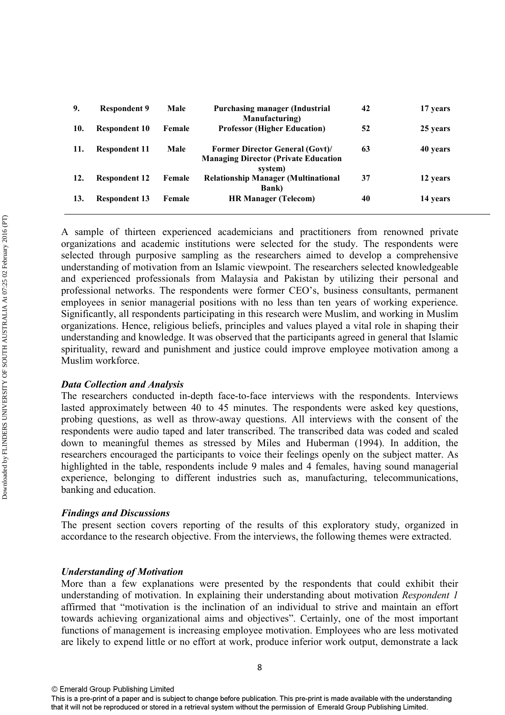| 9.  | <b>Respondent 9</b>  | Male   | <b>Purchasing manager (Industrial</b><br><b>Manufacturing</b> )                                  | 42 | 17 years |
|-----|----------------------|--------|--------------------------------------------------------------------------------------------------|----|----------|
| 10. | <b>Respondent 10</b> | Female | <b>Professor (Higher Education)</b>                                                              | 52 | 25 years |
| 11. | <b>Respondent 11</b> | Male   | <b>Former Director General (Govt)/</b><br><b>Managing Director (Private Education</b><br>system) | 63 | 40 years |
| 12. | <b>Respondent 12</b> | Female | <b>Relationship Manager (Multinational</b><br><b>Bank</b> )                                      | 37 | 12 years |
| 13. | <b>Respondent 13</b> | Female | <b>HR Manager (Telecom)</b>                                                                      | 40 | 14 years |

A sample of thirteen experienced academicians and practitioners from renowned private organizations and academic institutions were selected for the study. The respondents were selected through purposive sampling as the researchers aimed to develop a comprehensive understanding of motivation from an Islamic viewpoint. The researchers selected knowledgeable and experienced professionals from Malaysia and Pakistan by utilizing their personal and professional networks. The respondents were former CEO's, business consultants, permanent employees in senior managerial positions with no less than ten years of working experience. Significantly, all respondents participating in this research were Muslim, and working in Muslim organizations. Hence, religious beliefs, principles and values played a vital role in shaping their understanding and knowledge. It was observed that the participants agreed in general that Islamic spirituality, reward and punishment and justice could improve employee motivation among a Muslim workforce.

#### *Data Collection and Analysis*

The researchers conducted in-depth face-to-face interviews with the respondents. Interviews lasted approximately between 40 to 45 minutes. The respondents were asked key questions, probing questions, as well as throw-away questions. All interviews with the consent of the respondents were audio taped and later transcribed. The transcribed data was coded and scaled down to meaningful themes as stressed by Miles and Huberman (1994). In addition, the researchers encouraged the participants to voice their feelings openly on the subject matter. As highlighted in the table, respondents include 9 males and 4 females, having sound managerial experience, belonging to different industries such as, manufacturing, telecommunications, banking and education.

#### *Findings and Discussions*

The present section covers reporting of the results of this exploratory study, organized in accordance to the research objective. From the interviews, the following themes were extracted.

#### *Understanding of Motivation*

More than a few explanations were presented by the respondents that could exhibit their understanding of motivation. In explaining their understanding about motivation *Respondent 1* affirmed that "motivation is the inclination of an individual to strive and maintain an effort towards achieving organizational aims and objectives". Certainly, one of the most important functions of management is increasing employee motivation. Employees who are less motivated are likely to expend little or no effort at work, produce inferior work output, demonstrate a lack

This is a pre-print of a paper and is subject to change before publication. This pre-print is made available with the understanding that it will not be reproduced or stored in a retrieval system without the permission of Emerald Group Publishing Limited.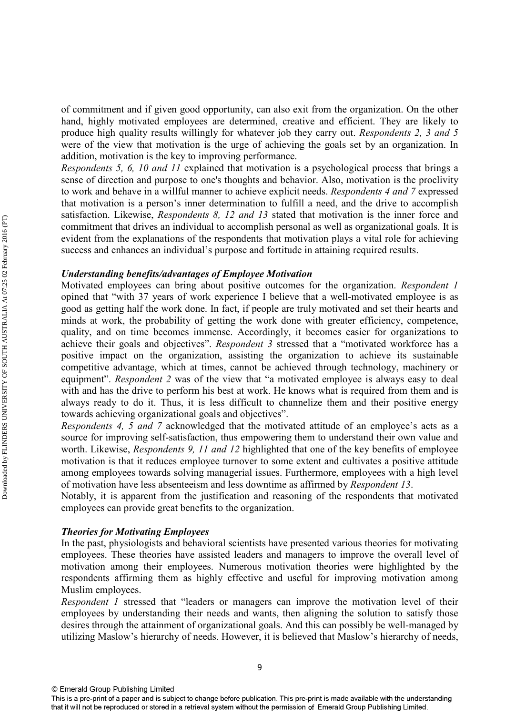of commitment and if given good opportunity, can also exit from the organization. On the other hand, highly motivated employees are determined, creative and efficient. They are likely to produce high quality results willingly for whatever job they carry out. *Respondents 2, 3 and 5* were of the view that motivation is the urge of achieving the goals set by an organization. In addition, motivation is the key to improving performance.

*Respondents 5, 6, 10 and 11* explained that motivation is a psychological process that brings a sense of direction and purpose to one's thoughts and behavior. Also, motivation is the proclivity to work and behave in a willful manner to achieve explicit needs. *Respondents 4 and 7* expressed that motivation is a person's inner determination to fulfill a need, and the drive to accomplish satisfaction. Likewise, *Respondents 8, 12 and 13* stated that motivation is the inner force and commitment that drives an individual to accomplish personal as well as organizational goals. It is evident from the explanations of the respondents that motivation plays a vital role for achieving success and enhances an individual's purpose and fortitude in attaining required results.

#### *Understanding benefits/advantages of Employee Motivation*

Motivated employees can bring about positive outcomes for the organization. *Respondent 1* opined that "with 37 years of work experience I believe that a well-motivated employee is as good as getting half the work done. In fact, if people are truly motivated and set their hearts and minds at work, the probability of getting the work done with greater efficiency, competence, quality, and on time becomes immense. Accordingly, it becomes easier for organizations to achieve their goals and objectives". *Respondent 3* stressed that a "motivated workforce has a positive impact on the organization, assisting the organization to achieve its sustainable competitive advantage, which at times, cannot be achieved through technology, machinery or equipment". *Respondent 2* was of the view that "a motivated employee is always easy to deal with and has the drive to perform his best at work. He knows what is required from them and is always ready to do it. Thus, it is less difficult to channelize them and their positive energy towards achieving organizational goals and objectives".

*Respondents 4, 5 and 7* acknowledged that the motivated attitude of an employee's acts as a source for improving self-satisfaction, thus empowering them to understand their own value and worth. Likewise, *Respondents 9, 11 and 12* highlighted that one of the key benefits of employee motivation is that it reduces employee turnover to some extent and cultivates a positive attitude among employees towards solving managerial issues. Furthermore, employees with a high level of motivation have less absenteeism and less downtime as affirmed by *Respondent 13*.

Notably, it is apparent from the justification and reasoning of the respondents that motivated employees can provide great benefits to the organization.

#### *Theories for Motivating Employees*

In the past, physiologists and behavioral scientists have presented various theories for motivating employees. These theories have assisted leaders and managers to improve the overall level of motivation among their employees. Numerous motivation theories were highlighted by the respondents affirming them as highly effective and useful for improving motivation among Muslim employees.

*Respondent 1* stressed that "leaders or managers can improve the motivation level of their employees by understanding their needs and wants, then aligning the solution to satisfy those desires through the attainment of organizational goals. And this can possibly be well-managed by utilizing Maslow's hierarchy of needs. However, it is believed that Maslow's hierarchy of needs,

Downloaded by FLINDERS UNIVERSITY OF SOUTH AUSTRALIA At 07:25 02 February 2016 (PT) Downloaded by FLINDERS UNIVERSITY OF SOUTH AUSTRALIA At 07:25 02 February 2016 (PT)

<sup>©</sup> Emerald Group Publishing Limited

This is a pre-print of a paper and is subject to change before publication. This pre-print is made available with the understanding that it will not be reproduced or stored in a retrieval system without the permission of Emerald Group Publishing Limited.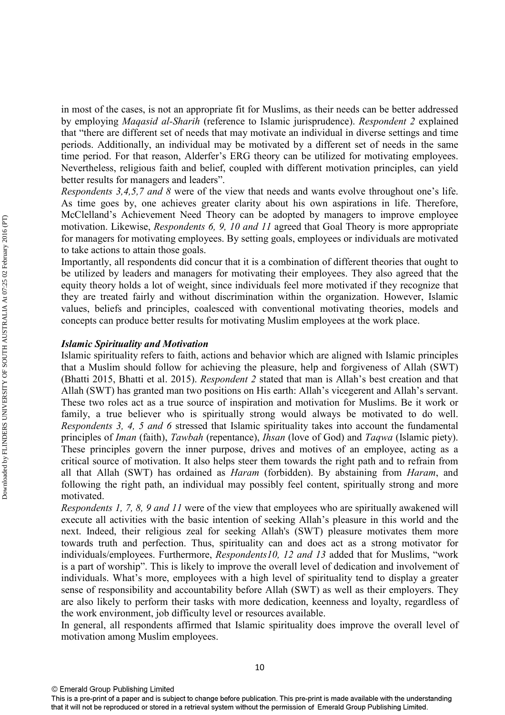in most of the cases, is not an appropriate fit for Muslims, as their needs can be better addressed by employing *Maqasid al-Sharih* (reference to Islamic jurisprudence). *Respondent 2* explained that "there are different set of needs that may motivate an individual in diverse settings and time periods. Additionally, an individual may be motivated by a different set of needs in the same time period. For that reason, Alderfer's ERG theory can be utilized for motivating employees. Nevertheless, religious faith and belief, coupled with different motivation principles, can yield better results for managers and leaders".

*Respondents 3,4,5,7 and 8* were of the view that needs and wants evolve throughout one's life. As time goes by, one achieves greater clarity about his own aspirations in life. Therefore, McClelland's Achievement Need Theory can be adopted by managers to improve employee motivation. Likewise, *Respondents 6, 9, 10 and 11* agreed that Goal Theory is more appropriate for managers for motivating employees. By setting goals, employees or individuals are motivated to take actions to attain those goals.

Importantly, all respondents did concur that it is a combination of different theories that ought to be utilized by leaders and managers for motivating their employees. They also agreed that the equity theory holds a lot of weight, since individuals feel more motivated if they recognize that they are treated fairly and without discrimination within the organization. However, Islamic values, beliefs and principles, coalesced with conventional motivating theories, models and concepts can produce better results for motivating Muslim employees at the work place.

#### *Islamic Spirituality and Motivation*

Islamic spirituality refers to faith, actions and behavior which are aligned with Islamic principles that a Muslim should follow for achieving the pleasure, help and forgiveness of Allah (SWT) (Bhatti 2015, Bhatti et al. 2015). *Respondent 2* stated that man is Allah's best creation and that Allah (SWT) has granted man two positions on His earth: Allah's vicegerent and Allah's servant. These two roles act as a true source of inspiration and motivation for Muslims. Be it work or family, a true believer who is spiritually strong would always be motivated to do well. *Respondents 3, 4, 5 and 6* stressed that Islamic spirituality takes into account the fundamental principles of *Iman* (faith), *Tawbah* (repentance), *Ihsan* (love of God) and *Taqwa* (Islamic piety). These principles govern the inner purpose, drives and motives of an employee, acting as a critical source of motivation. It also helps steer them towards the right path and to refrain from all that Allah (SWT) has ordained as *Haram* (forbidden). By abstaining from *Haram*, and following the right path, an individual may possibly feel content, spiritually strong and more motivated.

*Respondents 1, 7, 8, 9 and 11* were of the view that employees who are spiritually awakened will execute all activities with the basic intention of seeking Allah's pleasure in this world and the next. Indeed, their religious zeal for seeking Allah's (SWT) pleasure motivates them more towards truth and perfection. Thus, spirituality can and does act as a strong motivator for individuals/employees. Furthermore, *Respondents10, 12 and 13* added that for Muslims, "work is a part of worship". This is likely to improve the overall level of dedication and involvement of individuals. What's more, employees with a high level of spirituality tend to display a greater sense of responsibility and accountability before Allah (SWT) as well as their employers. They are also likely to perform their tasks with more dedication, keenness and loyalty, regardless of the work environment, job difficulty level or resources available.

In general, all respondents affirmed that Islamic spirituality does improve the overall level of motivation among Muslim employees.

This is a pre-print of a paper and is subject to change before publication. This pre-print is made available with the understanding that it will not be reproduced or stored in a retrieval system without the permission of Emerald Group Publishing Limited.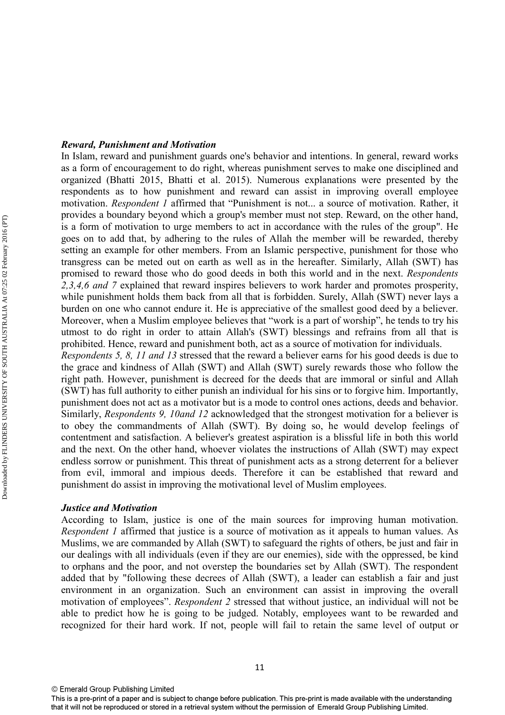#### *Reward, Punishment and Motivation*

In Islam, reward and punishment guards one's behavior and intentions. In general, reward works as a form of encouragement to do right, whereas punishment serves to make one disciplined and organized (Bhatti 2015, Bhatti et al. 2015). Numerous explanations were presented by the respondents as to how punishment and reward can assist in improving overall employee motivation. *Respondent 1* affirmed that "Punishment is not... a source of motivation. Rather, it provides a boundary beyond which a group's member must not step. Reward, on the other hand, is a form of motivation to urge members to act in accordance with the rules of the group". He goes on to add that, by adhering to the rules of Allah the member will be rewarded, thereby setting an example for other members. From an Islamic perspective, punishment for those who transgress can be meted out on earth as well as in the hereafter. Similarly, Allah (SWT) has promised to reward those who do good deeds in both this world and in the next. *Respondents 2,3,4,6 and 7* explained that reward inspires believers to work harder and promotes prosperity, while punishment holds them back from all that is forbidden. Surely, Allah (SWT) never lays a burden on one who cannot endure it. He is appreciative of the smallest good deed by a believer. Moreover, when a Muslim employee believes that "work is a part of worship", he tends to try his utmost to do right in order to attain Allah's (SWT) blessings and refrains from all that is prohibited. Hence, reward and punishment both, act as a source of motivation for individuals. *Respondents 5, 8, 11 and 13* stressed that the reward a believer earns for his good deeds is due to the grace and kindness of Allah (SWT) and Allah (SWT) surely rewards those who follow the right path. However, punishment is decreed for the deeds that are immoral or sinful and Allah (SWT) has full authority to either punish an individual for his sins or to forgive him. Importantly, punishment does not act as a motivator but is a mode to control ones actions, deeds and behavior. Similarly, *Respondents 9, 10and 12* acknowledged that the strongest motivation for a believer is to obey the commandments of Allah (SWT). By doing so, he would develop feelings of contentment and satisfaction. A believer's greatest aspiration is a blissful life in both this world and the next. On the other hand, whoever violates the instructions of Allah (SWT) may expect endless sorrow or punishment. This threat of punishment acts as a strong deterrent for a believer from evil, immoral and impious deeds. Therefore it can be established that reward and punishment do assist in improving the motivational level of Muslim employees.

#### *Justice and Motivation*

According to Islam, justice is one of the main sources for improving human motivation. *Respondent 1* affirmed that justice is a source of motivation as it appeals to human values. As Muslims, we are commanded by Allah (SWT) to safeguard the rights of others, be just and fair in our dealings with all individuals (even if they are our enemies), side with the oppressed, be kind to orphans and the poor, and not overstep the boundaries set by Allah (SWT). The respondent added that by "following these decrees of Allah (SWT), a leader can establish a fair and just environment in an organization. Such an environment can assist in improving the overall motivation of employees". *Respondent 2* stressed that without justice, an individual will not be able to predict how he is going to be judged. Notably, employees want to be rewarded and recognized for their hard work. If not, people will fail to retain the same level of output or

<sup>©</sup> Emerald Group Publishing Limited

This is a pre-print of a paper and is subject to change before publication. This pre-print is made available with the understanding that it will not be reproduced or stored in a retrieval system without the permission of Emerald Group Publishing Limited.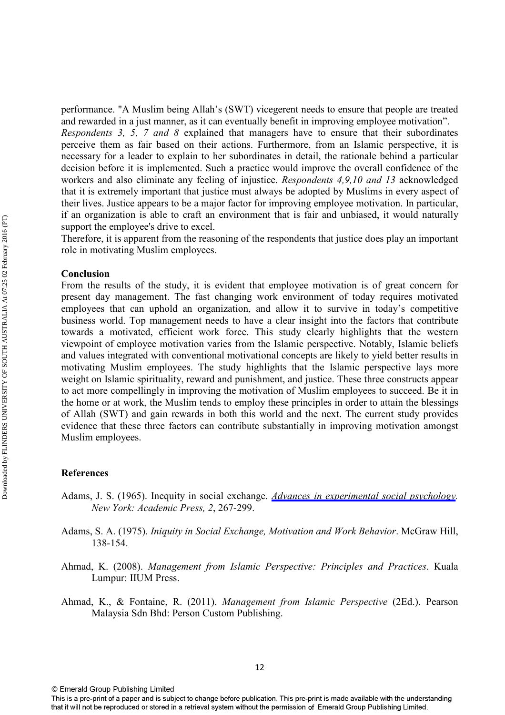performance. "A Muslim being Allah's (SWT) vicegerent needs to ensure that people are treated and rewarded in a just manner, as it can eventually benefit in improving employee motivation".

*Respondents 3, 5, 7 and 8* explained that managers have to ensure that their subordinates perceive them as fair based on their actions. Furthermore, from an Islamic perspective, it is necessary for a leader to explain to her subordinates in detail, the rationale behind a particular decision before it is implemented. Such a practice would improve the overall confidence of the workers and also eliminate any feeling of injustice. *Respondents 4,9,10 and 13* acknowledged that it is extremely important that justice must always be adopted by Muslims in every aspect of their lives. Justice appears to be a major factor for improving employee motivation. In particular, if an organization is able to craft an environment that is fair and unbiased, it would naturally support the employee's drive to excel.

Therefore, it is apparent from the reasoning of the respondents that justice does play an important role in motivating Muslim employees.

#### **Conclusion**

From the results of the study, it is evident that employee motivation is of great concern for present day management. The fast changing work environment of today requires motivated employees that can uphold an organization, and allow it to survive in today's competitive business world. Top management needs to have a clear insight into the factors that contribute towards a motivated, efficient work force. This study clearly highlights that the western viewpoint of employee motivation varies from the Islamic perspective. Notably, Islamic beliefs and values integrated with conventional motivational concepts are likely to yield better results in motivating Muslim employees. The study highlights that the Islamic perspective lays more weight on Islamic spirituality, reward and punishment, and justice. These three constructs appear to act more compellingly in improving the motivation of Muslim employees to succeed. Be it in the home or at work, the Muslim tends to employ these principles in order to attain the blessings of Allah (SWT) and gain rewards in both this world and the next. The current study provides evidence that these three factors can contribute substantially in improving motivation amongst Muslim employees.

#### **References**

- Adams, J. S. (1965). Inequity in social exchange. *[Advances in experimental social psychology.](http://www.emeraldinsight.com/action/showLinks?crossref=10.1016%2FS0065-2601%2808%2960108-2) New York: Academic Press, 2*, 267-299.
- Adams, S. A. (1975). *Iniquity in Social Exchange, Motivation and Work Behavior*. McGraw Hill, 138-154.
- Ahmad, K. (2008). *Management from Islamic Perspective: Principles and Practices*. Kuala Lumpur: IIUM Press.
- Ahmad, K., & Fontaine, R. (2011). *Management from Islamic Perspective* (2Ed.). Pearson Malaysia Sdn Bhd: Person Custom Publishing.

This is a pre-print of a paper and is subject to change before publication. This pre-print is made available with the understanding that it will not be reproduced or stored in a retrieval system without the permission of Emerald Group Publishing Limited.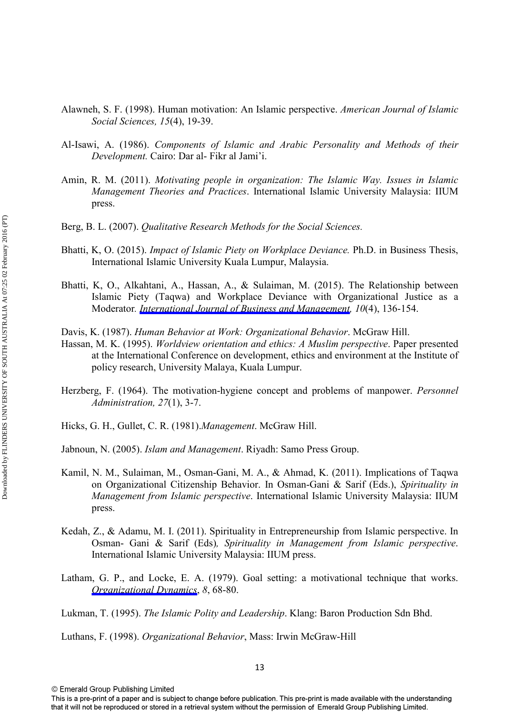- Alawneh, S. F. (1998). Human motivation: An Islamic perspective. *American Journal of Islamic Social Sciences, 15*(4), 19-39.
- Al-Isawi, A. (1986). *Components of Islamic and Arabic Personality and Methods of their Development.* Cairo: Dar al- Fikr al Jami'i.
- Amin, R. M. (2011). *Motivating people in organization: The Islamic Way. Issues in Islamic Management Theories and Practices*. International Islamic University Malaysia: IIUM press.
- Berg, B. L. (2007). *Qualitative Research Methods for the Social Sciences.*
- Bhatti, K, O. (2015). *Impact of Islamic Piety on Workplace Deviance.* Ph.D. in Business Thesis, International Islamic University Kuala Lumpur, Malaysia.
- Bhatti, K, O., Alkahtani, A., Hassan, A., & Sulaiman, M. (2015). The Relationship between Islamic Piety (Taqwa) and Workplace Deviance with Organizational Justice as a Moderator*. [International Journal of Business and Management](http://www.emeraldinsight.com/action/showLinks?crossref=10.5539%2Fijbm.v10n4p136), 10*(4), 136-154.

Davis, K. (1987). *Human Behavior at Work: Organizational Behavior*. McGraw Hill.

- Hassan, M. K. (1995). *Worldview orientation and ethics: A Muslim perspective*. Paper presented at the International Conference on development, ethics and environment at the Institute of policy research, University Malaya, Kuala Lumpur.
- Herzberg, F. (1964). The motivation-hygiene concept and problems of manpower. *Personnel Administration, 27*(1), 3-7.
- Hicks, G. H., Gullet, C. R. (1981).*Management*. McGraw Hill.

Jabnoun, N. (2005). *Islam and Management*. Riyadh: Samo Press Group.

- Kamil, N. M., Sulaiman, M., Osman-Gani, M. A., & Ahmad, K. (2011). Implications of Taqwa on Organizational Citizenship Behavior. In Osman-Gani & Sarif (Eds.), *Spirituality in Management from Islamic perspective*. International Islamic University Malaysia: IIUM press.
- Kedah, Z., & Adamu, M. I. (2011). Spirituality in Entrepreneurship from Islamic perspective. In Osman- Gani & Sarif (Eds)*, Spirituality in Management from Islamic perspective*. International Islamic University Malaysia: IIUM press.
- Latham, G. P., and Locke, E. A. (1979). Goal setting: a motivational technique that works. *[Organizational Dynamics](http://www.emeraldinsight.com/action/showLinks?crossref=10.1016%2F0090-2616%2879%2990032-9&isi=A1979HW43200005)*, *8*, 68-80.

Lukman, T. (1995). *The Islamic Polity and Leadership*. Klang: Baron Production Sdn Bhd.

Luthans, F. (1998). *Organizational Behavior*, Mass: Irwin McGraw-Hill

13

This is a pre-print of a paper and is subject to change before publication. This pre-print is made available with the understanding that it will not be reproduced or stored in a retrieval system without the permission of Emerald Group Publishing Limited.